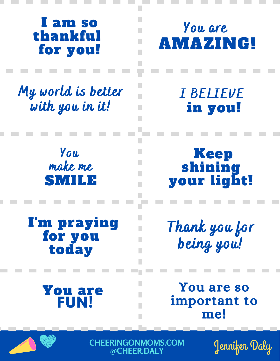## I am so thankful for you!

My world is better with you in it!

> You make me SMILE

I'm praying for you today

> You are **FUN!**

## You are AMAZING!

I BELIEVE in you!

Keep shining your light!

Thank you for being you!

You are so important to me!



**CHEERINGONMOMS.COM @CHEER.DALY**

Jennifer Daly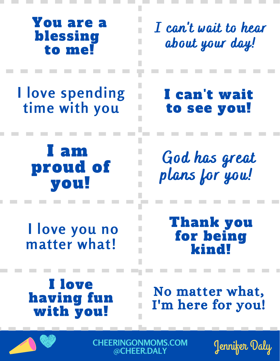## You are a blessing to me!

I can 't wait to hear about your day!

**I love spending time with you**

> I am proud of you!

**I love you no matter what!**

I can't wait to see you!

God has great plans for you!

> Thank you for being kind!

No matter what, I'm here for you!

I love having fun with you!



**CHEERINGONMOMS.COM @CHEER.DALY**

Jennifer Daly